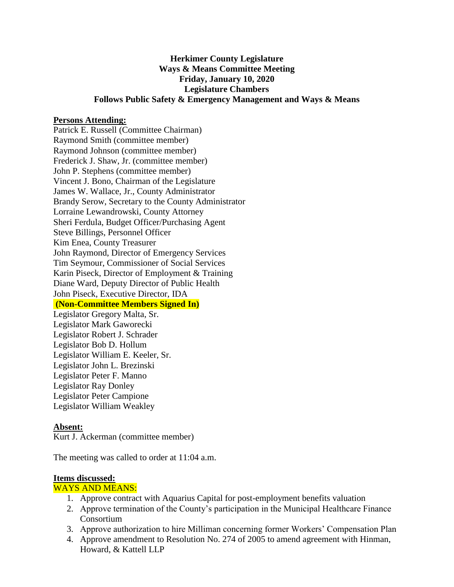# **Herkimer County Legislature Ways & Means Committee Meeting Friday, January 10, 2020 Legislature Chambers Follows Public Safety & Emergency Management and Ways & Means**

### **Persons Attending:**

Patrick E. Russell (Committee Chairman) Raymond Smith (committee member) Raymond Johnson (committee member) Frederick J. Shaw, Jr. (committee member) John P. Stephens (committee member) Vincent J. Bono, Chairman of the Legislature James W. Wallace, Jr., County Administrator Brandy Serow, Secretary to the County Administrator Lorraine Lewandrowski, County Attorney Sheri Ferdula, Budget Officer/Purchasing Agent Steve Billings, Personnel Officer Kim Enea, County Treasurer John Raymond, Director of Emergency Services Tim Seymour, Commissioner of Social Services Karin Piseck, Director of Employment & Training Diane Ward, Deputy Director of Public Health John Piseck, Executive Director, IDA **(Non-Committee Members Signed In)** Legislator Gregory Malta, Sr. Legislator Mark Gaworecki Legislator Robert J. Schrader Legislator Bob D. Hollum Legislator William E. Keeler, Sr. Legislator John L. Brezinski Legislator Peter F. Manno Legislator Ray Donley Legislator Peter Campione Legislator William Weakley

#### **Absent:**

Kurt J. Ackerman (committee member)

The meeting was called to order at 11:04 a.m.

### **Items discussed:**

#### WAYS AND MEANS:

- 1. Approve contract with Aquarius Capital for post-employment benefits valuation
- 2. Approve termination of the County's participation in the Municipal Healthcare Finance Consortium
- 3. Approve authorization to hire Milliman concerning former Workers' Compensation Plan
- 4. Approve amendment to Resolution No. 274 of 2005 to amend agreement with Hinman, Howard, & Kattell LLP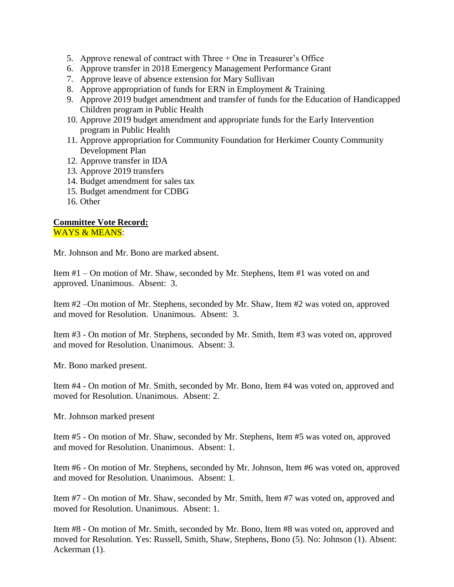- 5. Approve renewal of contract with Three + One in Treasurer's Office
- 6. Approve transfer in 2018 Emergency Management Performance Grant
- 7. Approve leave of absence extension for Mary Sullivan
- 8. Approve appropriation of funds for ERN in Employment & Training
- 9. Approve 2019 budget amendment and transfer of funds for the Education of Handicapped Children program in Public Health
- 10. Approve 2019 budget amendment and appropriate funds for the Early Intervention program in Public Health
- 11. Approve appropriation for Community Foundation for Herkimer County Community Development Plan
- 12. Approve transfer in IDA
- 13. Approve 2019 transfers
- 14. Budget amendment for sales tax
- 15. Budget amendment for CDBG
- 16. Other

## **Committee Vote Record:**  WAYS & MEANS:

Mr. Johnson and Mr. Bono are marked absent.

Item #1 – On motion of Mr. Shaw, seconded by Mr. Stephens, Item #1 was voted on and approved. Unanimous. Absent: 3.

Item #2 –On motion of Mr. Stephens, seconded by Mr. Shaw, Item #2 was voted on, approved and moved for Resolution. Unanimous. Absent: 3.

Item #3 - On motion of Mr. Stephens, seconded by Mr. Smith, Item #3 was voted on, approved and moved for Resolution. Unanimous. Absent: 3.

Mr. Bono marked present.

Item #4 - On motion of Mr. Smith, seconded by Mr. Bono, Item #4 was voted on, approved and moved for Resolution. Unanimous. Absent: 2.

Mr. Johnson marked present

Item #5 - On motion of Mr. Shaw, seconded by Mr. Stephens, Item #5 was voted on, approved and moved for Resolution. Unanimous. Absent: 1.

Item #6 - On motion of Mr. Stephens, seconded by Mr. Johnson, Item #6 was voted on, approved and moved for Resolution. Unanimous. Absent: 1.

Item #7 - On motion of Mr. Shaw, seconded by Mr. Smith, Item #7 was voted on, approved and moved for Resolution. Unanimous. Absent: 1.

Item #8 - On motion of Mr. Smith, seconded by Mr. Bono, Item #8 was voted on, approved and moved for Resolution. Yes: Russell, Smith, Shaw, Stephens, Bono (5). No: Johnson (1). Absent: Ackerman (1).